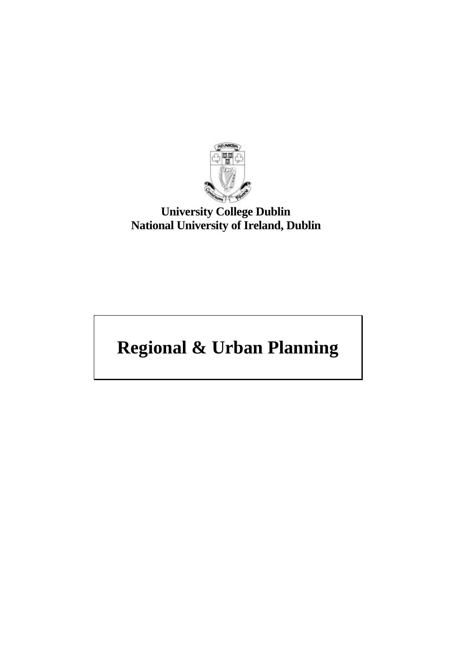

# **University College Dublin National University of Ireland, Dublin**

# **Regional & Urban Planning**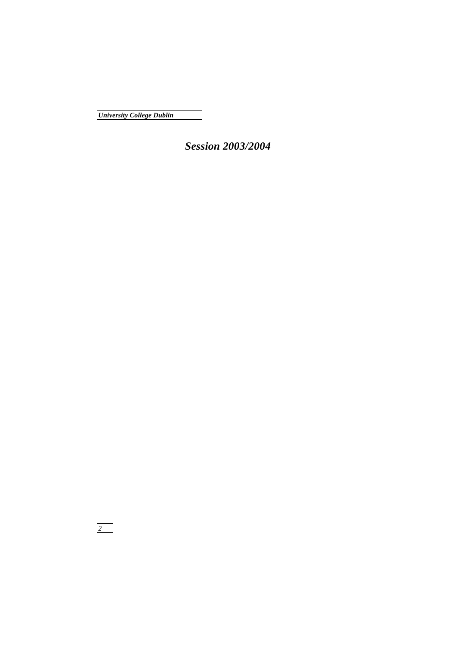*Session 2003/2004*

*2*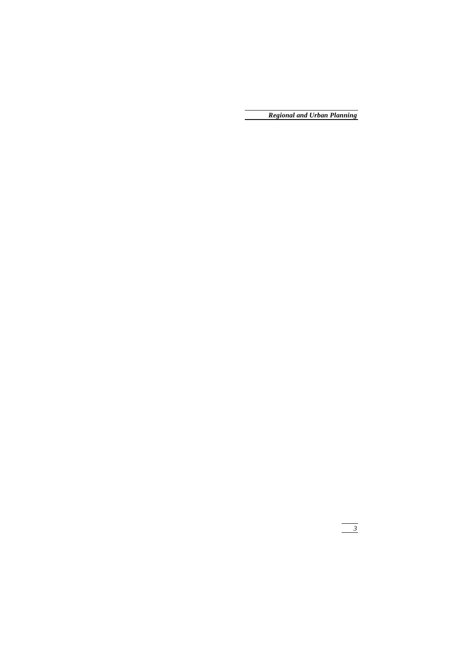*3*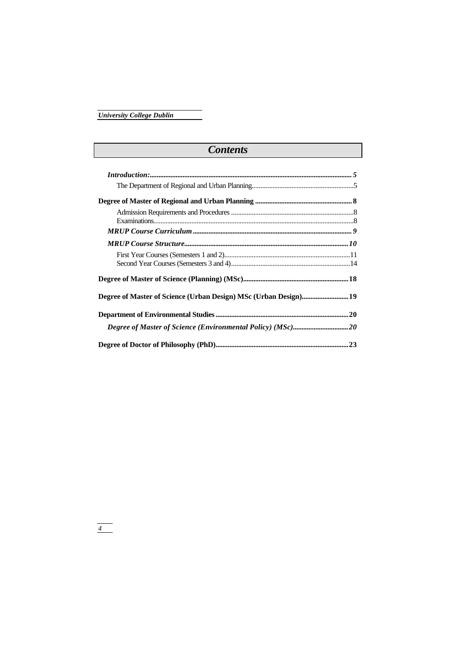# *Contents*

| Introduction: 5                                                  |  |
|------------------------------------------------------------------|--|
|                                                                  |  |
|                                                                  |  |
|                                                                  |  |
|                                                                  |  |
|                                                                  |  |
|                                                                  |  |
|                                                                  |  |
| Degree of Master of Science (Urban Design) MSc (Urban Design) 19 |  |
|                                                                  |  |
|                                                                  |  |
|                                                                  |  |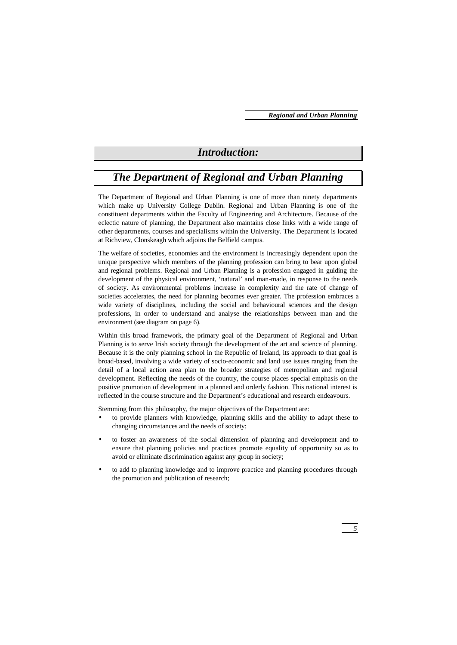# *Introduction:*

# *The Department of Regional and Urban Planning*

The Department of Regional and Urban Planning is one of more than ninety departments which make up University College Dublin. Regional and Urban Planning is one of the constituent departments within the Faculty of Engineering and Architecture. Because of the eclectic nature of planning, the Department also maintains close links with a wide range of other departments, courses and specialisms within the University. The Department is located at Richview, Clonskeagh which adjoins the Belfield campus.

The welfare of societies, economies and the environment is increasingly dependent upon the unique perspective which members of the planning profession can bring to bear upon global and regional problems. Regional and Urban Planning is a profession engaged in guiding the development of the physical environment, 'natural' and man-made, in response to the needs of society. As environmental problems increase in complexity and the rate of change of societies accelerates, the need for planning becomes ever greater. The profession embraces a wide variety of disciplines, including the social and behavioural sciences and the design professions, in order to understand and analyse the relationships between man and the environment (see diagram on page 6).

Within this broad framework, the primary goal of the Department of Regional and Urban Planning is to serve Irish society through the development of the art and science of planning. Because it is the only planning school in the Republic of Ireland, its approach to that goal is broad-based, involving a wide variety of socio-economic and land use issues ranging from the detail of a local action area plan to the broader strategies of metropolitan and regional development. Reflecting the needs of the country, the course places special emphasis on the positive promotion of development in a planned and orderly fashion. This national interest is reflected in the course structure and the Department's educational and research endeavours.

Stemming from this philosophy, the major objectives of the Department are:

- to provide planners with knowledge, planning skills and the ability to adapt these to changing circumstances and the needs of society;
- to foster an awareness of the social dimension of planning and development and to ensure that planning policies and practices promote equality of opportunity so as to avoid or eliminate discrimination against any group in society;
- to add to planning knowledge and to improve practice and planning procedures through the promotion and publication of research;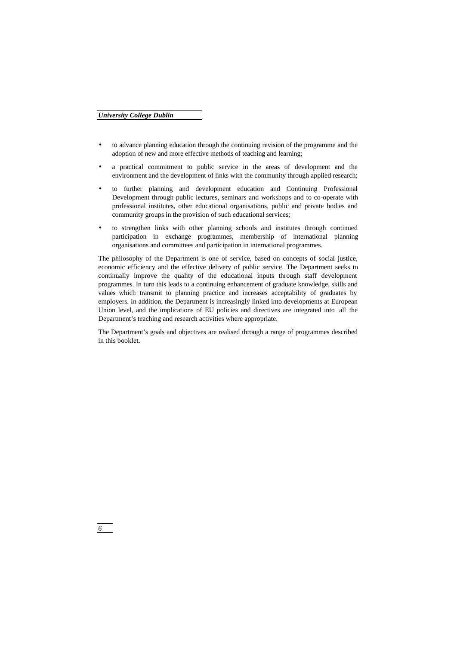- to advance planning education through the continuing revision of the programme and the adoption of new and more effective methods of teaching and learning;
- a practical commitment to public service in the areas of development and the environment and the development of links with the community through applied research;
- to further planning and development education and Continuing Professional Development through public lectures, seminars and workshops and to co-operate with professional institutes, other educational organisations, public and private bodies and community groups in the provision of such educational services;
- to strengthen links with other planning schools and institutes through continued participation in exchange programmes, membership of international planning organisations and committees and participation in international programmes.

The philosophy of the Department is one of service, based on concepts of social justice, economic efficiency and the effective delivery of public service. The Department seeks to continually improve the quality of the educational inputs through staff development programmes. In turn this leads to a continuing enhancement of graduate knowledge, skills and values which transmit to planning practice and increases acceptability of graduates by employers. In addition, the Department is increasingly linked into developments at European Union level, and the implications of EU policies and directives are integrated into all the Department's teaching and research activities where appropriate.

The Department's goals and objectives are realised through a range of programmes described in this booklet.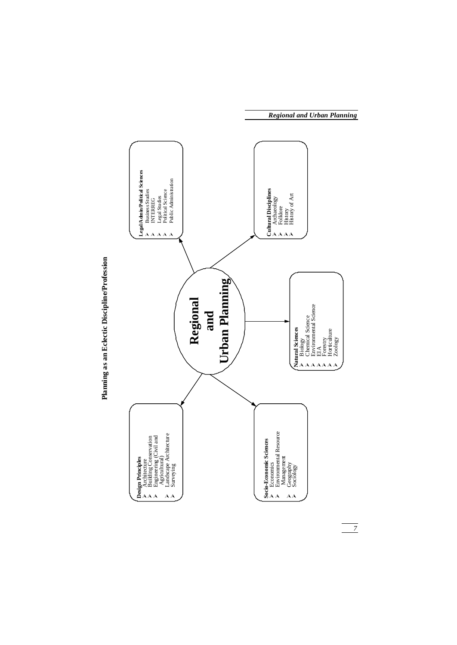

Planning as an Eclectic Discipline/Profession **Planning as an Eclectic Discipline/Profession**

*7*

*Regional and Urban Planning*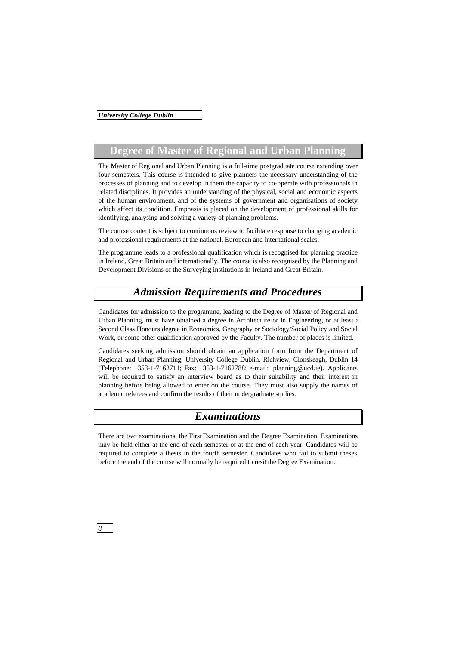### **Degree of Master of Regional and Urban Planning**

The Master of Regional and Urban Planning is a full-time postgraduate course extending over four semesters. This course is intended to give planners the necessary understanding of the processes of planning and to develop in them the capacity to co-operate with professionals in related disciplines. It provides an understanding of the physical, social and economic aspects of the human environment, and of the systems of government and organisations of society which affect its condition. Emphasis is placed on the development of professional skills for identifying, analysing and solving a variety of planning problems.

The course content is subject to continuous review to facilitate response to changing academic and professional requirements at the national, European and international scales.

The programme leads to a professional qualification which is recognised for planning practice in Ireland, Great Britain and internationally. The course is also recognised by the Planning and Development Divisions of the Surveying institutions in Ireland and Great Britain.

### *Admission Requirements and Procedures*

Candidates for admission to the programme, leading to the Degree of Master of Regional and Urban Planning, must have obtained a degree in Architecture or in Engineering, or at least a Second Class Honours degree in Economics, Geography or Sociology/Social Policy and Social Work, or some other qualification approved by the Faculty. The number of places is limited.

Candidates seeking admission should obtain an application form from the Department of Regional and Urban Planning, University College Dublin, Richview, Clonskeagh, Dublin 14 (Telephone: +353-1-7162711; Fax: +353-1-7162788; e-mail: planning@ucd.ie). Applicants will be required to satisfy an interview board as to their suitability and their interest in planning before being allowed to enter on the course. They must also supply the names of academic referees and confirm the results of their undergraduate studies.

# *Examinations*

There are two examinations, the First Examination and the Degree Examination. Examinations may be held either at the end of each semester or at the end of each year. Candidates will be required to complete a thesis in the fourth semester. Candidates who fail to submit theses before the end of the course will normally be required to resit the Degree Examination.

*8*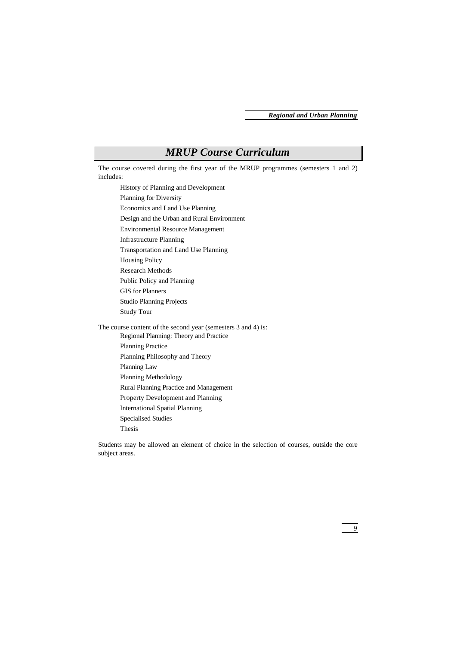# *MRUP Course Curriculum*

The course covered during the first year of the MRUP programmes (semesters 1 and 2) includes:

History of Planning and Development Planning for Diversity Economics and Land Use Planning Design and the Urban and Rural Environment Environmental Resource Management Infrastructure Planning Transportation and Land Use Planning Housing Policy Research Methods Public Policy and Planning GIS for Planners Studio Planning Projects Study Tour The course content of the second year (semesters 3 and 4) is:

Regional Planning: Theory and Practice

Planning Practice

Planning Philosophy and Theory

Planning Law

Planning Methodology

Rural Planning Practice and Management

Property Development and Planning

International Spatial Planning

Specialised Studies

Thesis

Students may be allowed an element of choice in the selection of courses, outside the core subject areas.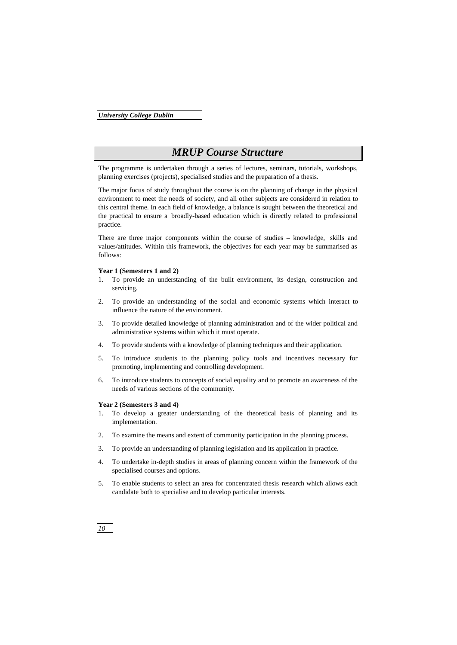### *MRUP Course Structure*

The programme is undertaken through a series of lectures, seminars, tutorials, workshops, planning exercises (projects), specialised studies and the preparation of a thesis.

The major focus of study throughout the course is on the planning of change in the physical environment to meet the needs of society, and all other subjects are considered in relation to this central theme. In each field of knowledge, a balance is sought between the theoretical and the practical to ensure a broadly-based education which is directly related to professional practice.

There are three major components within the course of studies – knowledge, skills and values/attitudes. Within this framework, the objectives for each year may be summarised as follows:

#### **Year 1 (Semesters 1 and 2)**

- 1. To provide an understanding of the built environment, its design, construction and servicing.
- 2. To provide an understanding of the social and economic systems which interact to influence the nature of the environment.
- 3. To provide detailed knowledge of planning administration and of the wider political and administrative systems within which it must operate.
- 4. To provide students with a knowledge of planning techniques and their application.
- 5. To introduce students to the planning policy tools and incentives necessary for promoting, implementing and controlling development.
- 6. To introduce students to concepts of social equality and to promote an awareness of the needs of various sections of the community.

#### **Year 2 (Semesters 3 and 4)**

- 1. To develop a greater understanding of the theoretical basis of planning and its implementation.
- 2. To examine the means and extent of community participation in the planning process.
- 3. To provide an understanding of planning legislation and its application in practice.
- 4. To undertake in-depth studies in areas of planning concern within the framework of the specialised courses and options.
- 5. To enable students to select an area for concentrated thesis research which allows each candidate both to specialise and to develop particular interests.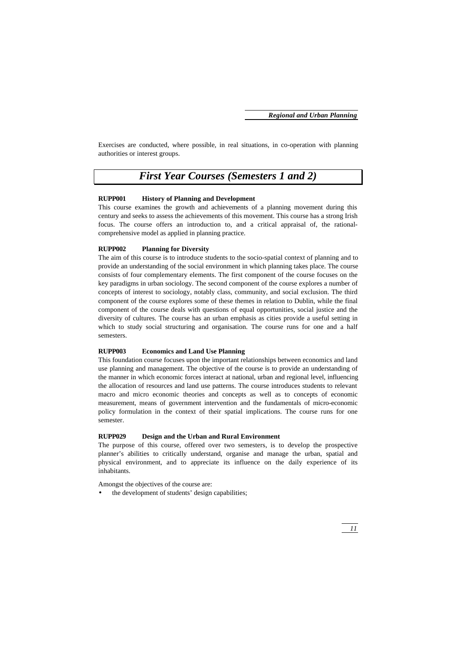Exercises are conducted, where possible, in real situations, in co-operation with planning authorities or interest groups.

### *First Year Courses (Semesters 1 and 2)*

#### **RUPP001 History of Planning and Development**

This course examines the growth and achievements of a planning movement during this century and seeks to assess the achievements of this movement. This course has a strong Irish focus. The course offers an introduction to, and a critical appraisal of, the rationalcomprehensive model as applied in planning practice.

#### **RUPP002 Planning for Diversity**

The aim of this course is to introduce students to the socio-spatial context of planning and to provide an understanding of the social environment in which planning takes place. The course consists of four complementary elements. The first component of the course focuses on the key paradigms in urban sociology. The second component of the course explores a number of concepts of interest to sociology, notably class, community, and social exclusion. The third component of the course explores some of these themes in relation to Dublin, while the final component of the course deals with questions of equal opportunities, social justice and the diversity of cultures. The course has an urban emphasis as cities provide a useful setting in which to study social structuring and organisation. The course runs for one and a half semesters.

#### **RUPP003 Economics and Land Use Planning**

This foundation course focuses upon the important relationships between economics and land use planning and management. The objective of the course is to provide an understanding of the manner in which economic forces interact at national, urban and regional level, influencing the allocation of resources and land use patterns. The course introduces students to relevant macro and micro economic theories and concepts as well as to concepts of economic measurement, means of government intervention and the fundamentals of micro-economic policy formulation in the context of their spatial implications. The course runs for one semester.

#### **RUPP029 Design and the Urban and Rural Environment**

The purpose of this course, offered over two semesters, is to develop the prospective planner's abilities to critically understand, organise and manage the urban, spatial and physical environment, and to appreciate its influence on the daily experience of its inhabitants.

Amongst the objectives of the course are:

the development of students' design capabilities;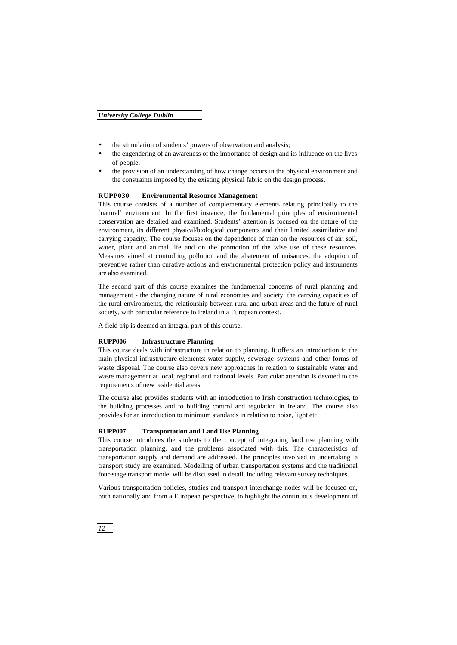- the stimulation of students' powers of observation and analysis;
- the engendering of an awareness of the importance of design and its influence on the lives of people;
- the provision of an understanding of how change occurs in the physical environment and the constraints imposed by the existing physical fabric on the design process.

#### **RUPP030 Environmental Resource Management**

This course consists of a number of complementary elements relating principally to the 'natural' environment. In the first instance, the fundamental principles of environmental conservation are detailed and examined. Students' attention is focused on the nature of the environment, its different physical/biological components and their limited assimilative and carrying capacity. The course focuses on the dependence of man on the resources of air, soil, water, plant and animal life and on the promotion of the wise use of these resources. Measures aimed at controlling pollution and the abatement of nuisances, the adoption of preventive rather than curative actions and environmental protection policy and instruments are also examined.

The second part of this course examines the fundamental concerns of rural planning and management - the changing nature of rural economies and society, the carrying capacities of the rural environments, the relationship between rural and urban areas and the future of rural society, with particular reference to Ireland in a European context.

A field trip is deemed an integral part of this course.

#### **RUPP006 Infrastructure Planning**

This course deals with infrastructure in relation to planning. It offers an introduction to the main physical infrastructure elements: water supply, sewerage systems and other forms of waste disposal. The course also covers new approaches in relation to sustainable water and waste management at local, regional and national levels. Particular attention is devoted to the requirements of new residential areas.

The course also provides students with an introduction to Irish construction technologies, to the building processes and to building control and regulation in Ireland. The course also provides for an introduction to minimum standards in relation to noise, light etc.

#### **RUPP007 Transportation and Land Use Planning**

This course introduces the students to the concept of integrating land use planning with transportation planning, and the problems associated with this. The characteristics of transportation supply and demand are addressed. The principles involved in undertaking a transport study are examined. Modelling of urban transportation systems and the traditional four-stage transport model will be discussed in detail, including relevant survey techniques.

Various transportation policies, studies and transport interchange nodes will be focused on, both nationally and from a European perspective, to highlight the continuous development of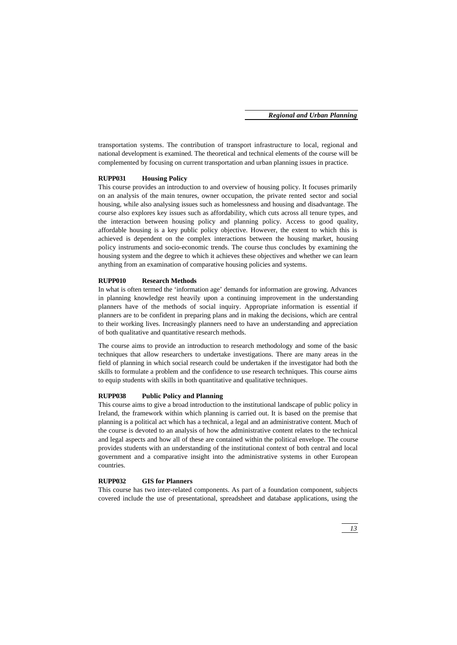transportation systems. The contribution of transport infrastructure to local, regional and national development is examined. The theoretical and technical elements of the course will be complemented by focusing on current transportation and urban planning issues in practice.

#### **RUPP031 Housing Policy**

This course provides an introduction to and overview of housing policy. It focuses primarily on an analysis of the main tenures, owner occupation, the private rented sector and social housing, while also analysing issues such as homelessness and housing and disadvantage. The course also explores key issues such as affordability, which cuts across all tenure types, and the interaction between housing policy and planning policy. Access to good quality, affordable housing is a key public policy objective. However, the extent to which this is achieved is dependent on the complex interactions between the housing market, housing policy instruments and socio-economic trends. The course thus concludes by examining the housing system and the degree to which it achieves these objectives and whether we can learn anything from an examination of comparative housing policies and systems.

#### **RUPP010 Research Methods**

In what is often termed the 'information age' demands for information are growing. Advances in planning knowledge rest heavily upon a continuing improvement in the understanding planners have of the methods of social inquiry. Appropriate information is essential if planners are to be confident in preparing plans and in making the decisions, which are central to their working lives. Increasingly planners need to have an understanding and appreciation of both qualitative and quantitative research methods.

The course aims to provide an introduction to research methodology and some of the basic techniques that allow researchers to undertake investigations. There are many areas in the field of planning in which social research could be undertaken if the investigator had both the skills to formulate a problem and the confidence to use research techniques. This course aims to equip students with skills in both quantitative and qualitative techniques.

#### **RUPP038 Public Policy and Planning**

This course aims to give a broad introduction to the institutional landscape of public policy in Ireland, the framework within which planning is carried out. It is based on the premise that planning is a political act which has a technical, a legal and an administrative content. Much of the course is devoted to an analysis of how the administrative content relates to the technical and legal aspects and how all of these are contained within the political envelope. The course provides students with an understanding of the institutional context of both central and local government and a comparative insight into the administrative systems in other European countries.

#### **RUPP032 GIS for Planners**

This course has two inter-related components. As part of a foundation component, subjects covered include the use of presentational, spreadsheet and database applications, using the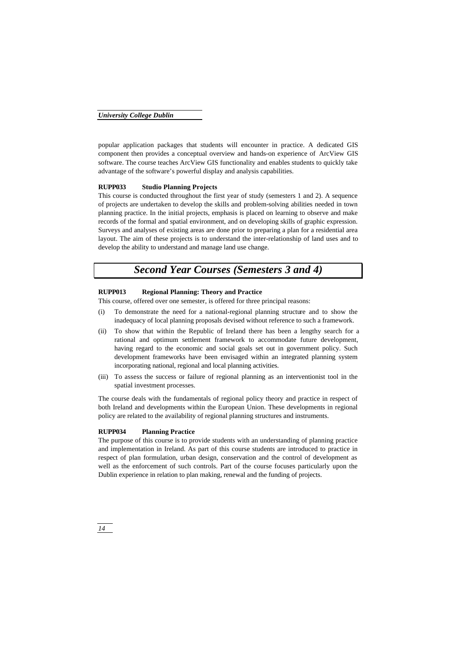popular application packages that students will encounter in practice. A dedicated GIS component then provides a conceptual overview and hands-on experience of ArcView GIS software. The course teaches ArcView GIS functionality and enables students to quickly take advantage of the software's powerful display and analysis capabilities.

#### **RUPP033 Studio Planning Projects**

This course is conducted throughout the first year of study (semesters 1 and 2). A sequence of projects are undertaken to develop the skills and problem-solving abilities needed in town planning practice. In the initial projects, emphasis is placed on learning to observe and make records of the formal and spatial environment, and on developing skills of graphic expression. Surveys and analyses of existing areas are done prior to preparing a plan for a residential area layout. The aim of these projects is to understand the inter-relationship of land uses and to develop the ability to understand and manage land use change.

### *Second Year Courses (Semesters 3 and 4)*

#### **RUPP013 Regional Planning: Theory and Practice**

This course, offered over one semester, is offered for three principal reasons:

- (i) To demonstrate the need for a national-regional planning structure and to show the inadequacy of local planning proposals devised without reference to such a framework.
- (ii) To show that within the Republic of Ireland there has been a lengthy search for a rational and optimum settlement framework to accommodate future development, having regard to the economic and social goals set out in government policy. Such development frameworks have been envisaged within an integrated planning system incorporating national, regional and local planning activities.
- (iii) To assess the success or failure of regional planning as an interventionist tool in the spatial investment processes.

The course deals with the fundamentals of regional policy theory and practice in respect of both Ireland and developments within the European Union. These developments in regional policy are related to the availability of regional planning structures and instruments.

#### **RUPP034 Planning Practice**

The purpose of this course is to provide students with an understanding of planning practice and implementation in Ireland. As part of this course students are introduced to practice in respect of plan formulation, urban design, conservation and the control of development as well as the enforcement of such controls. Part of the course focuses particularly upon the Dublin experience in relation to plan making, renewal and the funding of projects.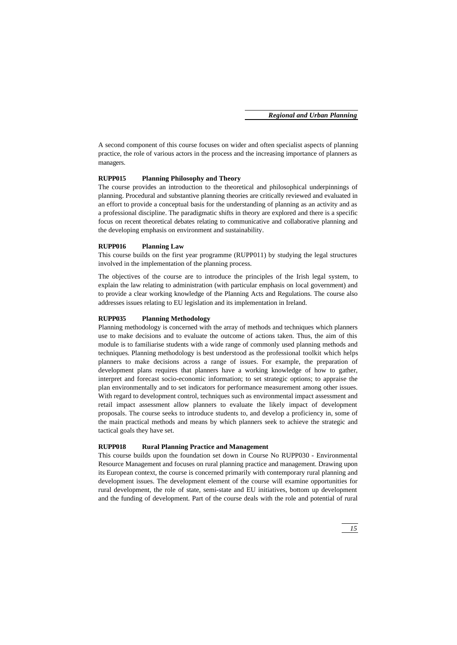A second component of this course focuses on wider and often specialist aspects of planning practice, the role of various actors in the process and the increasing importance of planners as managers.

#### **RUPP015 Planning Philosophy and Theory**

The course provides an introduction to the theoretical and philosophical underpinnings of planning. Procedural and substantive planning theories are critically reviewed and evaluated in an effort to provide a conceptual basis for the understanding of planning as an activity and as a professional discipline. The paradigmatic shifts in theory are explored and there is a specific focus on recent theoretical debates relating to communicative and collaborative planning and the developing emphasis on environment and sustainability.

#### **RUPP016 Planning Law**

This course builds on the first year programme (RUPP011) by studying the legal structures involved in the implementation of the planning process.

The objectives of the course are to introduce the principles of the Irish legal system, to explain the law relating to administration (with particular emphasis on local government) and to provide a clear working knowledge of the Planning Acts and Regulations. The course also addresses issues relating to EU legislation and its implementation in Ireland.

#### **RUPP035 Planning Methodology**

Planning methodology is concerned with the array of methods and techniques which planners use to make decisions and to evaluate the outcome of actions taken. Thus, the aim of this module is to familiarise students with a wide range of commonly used planning methods and techniques. Planning methodology is best understood as the professional toolkit which helps planners to make decisions across a range of issues. For example, the preparation of development plans requires that planners have a working knowledge of how to gather, interpret and forecast socio-economic information; to set strategic options; to appraise the plan environmentally and to set indicators for performance measurement among other issues. With regard to development control, techniques such as environmental impact assessment and retail impact assessment allow planners to evaluate the likely impact of development proposals. The course seeks to introduce students to, and develop a proficiency in, some of the main practical methods and means by which planners seek to achieve the strategic and tactical goals they have set.

#### **RUPP018 Rural Planning Practice and Management**

This course builds upon the foundation set down in Course No RUPP030 - Environmental Resource Management and focuses on rural planning practice and management. Drawing upon its European context, the course is concerned primarily with contemporary rural planning and development issues. The development element of the course will examine opportunities for rural development, the role of state, semi-state and EU initiatives, bottom up development and the funding of development. Part of the course deals with the role and potential of rural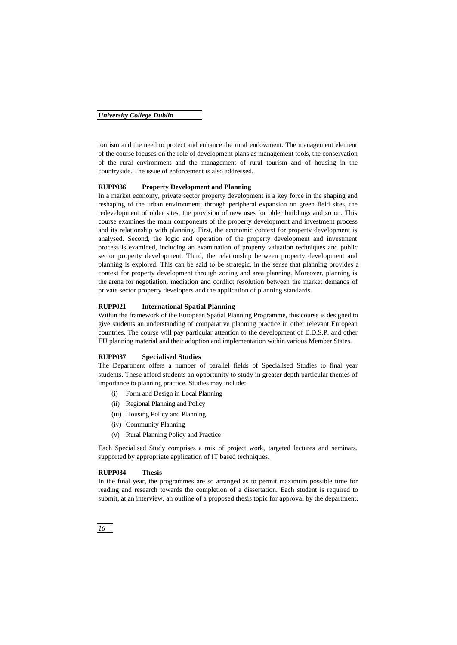tourism and the need to protect and enhance the rural endowment. The management element of the course focuses on the role of development plans as management tools, the conservation of the rural environment and the management of rural tourism and of housing in the countryside. The issue of enforcement is also addressed.

#### **RUPP036 Property Development and Planning**

In a market economy, private sector property development is a key force in the shaping and reshaping of the urban environment, through peripheral expansion on green field sites, the redevelopment of older sites, the provision of new uses for older buildings and so on. This course examines the main components of the property development and investment process and its relationship with planning. First, the economic context for property development is analysed. Second, the logic and operation of the property development and investment process is examined, including an examination of property valuation techniques and public sector property development. Third, the relationship between property development and planning is explored. This can be said to be strategic, in the sense that planning provides a context for property development through zoning and area planning. Moreover, planning is the arena for negotiation, mediation and conflict resolution between the market demands of private sector property developers and the application of planning standards.

#### **RUPP021 International Spatial Planning**

Within the framework of the European Spatial Planning Programme, this course is designed to give students an understanding of comparative planning practice in other relevant European countries. The course will pay particular attention to the development of E.D.S.P. and other EU planning material and their adoption and implementation within various Member States.

#### **RUPP037 Specialised Studies**

The Department offers a number of parallel fields of Specialised Studies to final year students. These afford students an opportunity to study in greater depth particular themes of importance to planning practice. Studies may include:

- (i) Form and Design in Local Planning
- (ii) Regional Planning and Policy
- (iii) Housing Policy and Planning
- (iv) Community Planning
- (v) Rural Planning Policy and Practice

Each Specialised Study comprises a mix of project work, targeted lectures and seminars, supported by appropriate application of IT based techniques.

#### **RUPP034 Thesis**

In the final year, the programmes are so arranged as to permit maximum possible time for reading and research towards the completion of a dissertation. Each student is required to submit, at an interview, an outline of a proposed thesis topic for approval by the department.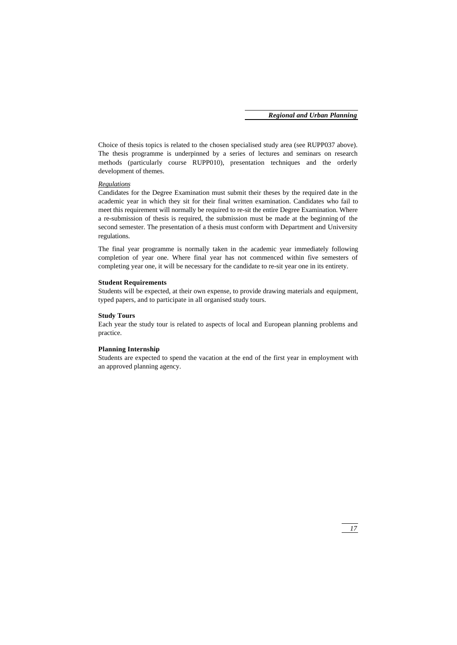Choice of thesis topics is related to the chosen specialised study area (see RUPP037 above). The thesis programme is underpinned by a series of lectures and seminars on research methods (particularly course RUPP010), presentation techniques and the orderly development of themes.

#### *Regulations*

Candidates for the Degree Examination must submit their theses by the required date in the academic year in which they sit for their final written examination. Candidates who fail to meet this requirement will normally be required to re-sit the entire Degree Examination. Where a re-submission of thesis is required, the submission must be made at the beginning of the second semester. The presentation of a thesis must conform with Department and University regulations.

The final year programme is normally taken in the academic year immediately following completion of year one. Where final year has not commenced within five semesters of completing year one, it will be necessary for the candidate to re-sit year one in its entirety.

#### **Student Requirements**

Students will be expected, at their own expense, to provide drawing materials and equipment, typed papers, and to participate in all organised study tours.

#### **Study Tours**

Each year the study tour is related to aspects of local and European planning problems and practice.

#### **Planning Internship**

Students are expected to spend the vacation at the end of the first year in employment with an approved planning agency.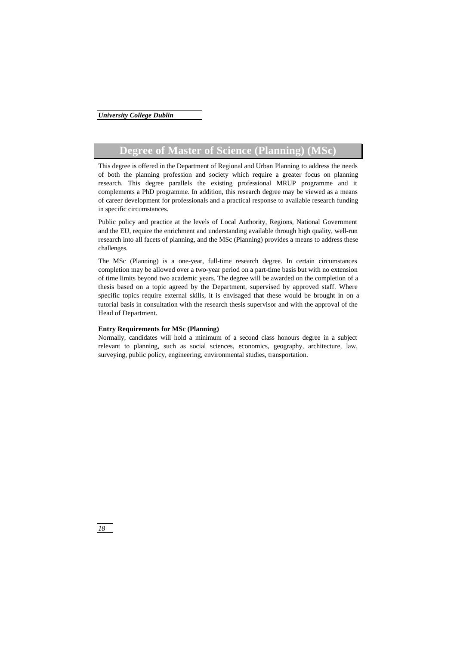### **Degree of Master of Science (Planning) (MSc)**

This degree is offered in the Department of Regional and Urban Planning to address the needs of both the planning profession and society which require a greater focus on planning research. This degree parallels the existing professional MRUP programme and it complements a PhD programme. In addition, this research degree may be viewed as a means of career development for professionals and a practical response to available research funding in specific circumstances.

Public policy and practice at the levels of Local Authority, Regions, National Government and the EU, require the enrichment and understanding available through high quality, well-run research into all facets of planning, and the MSc (Planning) provides a means to address these challenges.

The MSc (Planning) is a one-year, full-time research degree. In certain circumstances completion may be allowed over a two-year period on a part-time basis but with no extension of time limits beyond two academic years. The degree will be awarded on the completion of a thesis based on a topic agreed by the Department, supervised by approved staff. Where specific topics require external skills, it is envisaged that these would be brought in on a tutorial basis in consultation with the research thesis supervisor and with the approval of the Head of Department.

#### **Entry Requirements for MSc (Planning)**

Normally, candidates will hold a minimum of a second class honours degree in a subject relevant to planning, such as social sciences, economics, geography, architecture, law, surveying, public policy, engineering, environmental studies, transportation.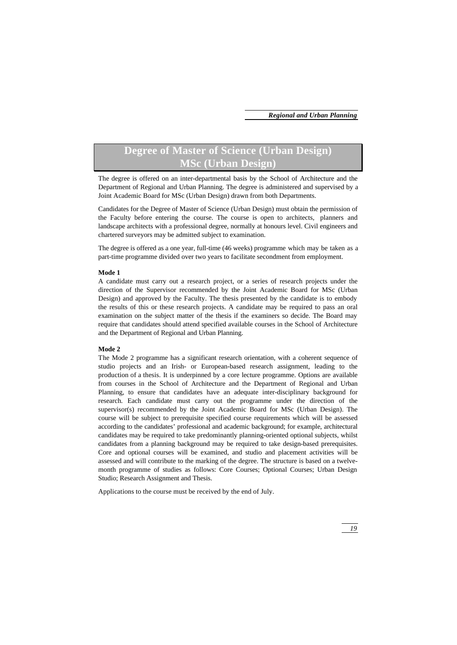# **Degree of Master of Science (Urban Design) MSc (Urban Design)**

The degree is offered on an inter-departmental basis by the School of Architecture and the Department of Regional and Urban Planning. The degree is administered and supervised by a Joint Academic Board for MSc (Urban Design) drawn from both Departments.

Candidates for the Degree of Master of Science (Urban Design) must obtain the permission of the Faculty before entering the course. The course is open to architects, planners and landscape architects with a professional degree, normally at honours level. Civil engineers and chartered surveyors may be admitted subject to examination.

The degree is offered as a one year, full-time (46 weeks) programme which may be taken as a part-time programme divided over two years to facilitate secondment from employment.

#### **Mode 1**

A candidate must carry out a research project, or a series of research projects under the direction of the Supervisor recommended by the Joint Academic Board for MSc (Urban Design) and approved by the Faculty. The thesis presented by the candidate is to embody the results of this or these research projects. A candidate may be required to pass an oral examination on the subject matter of the thesis if the examiners so decide. The Board may require that candidates should attend specified available courses in the School of Architecture and the Department of Regional and Urban Planning.

#### **Mode 2**

The Mode 2 programme has a significant research orientation, with a coherent sequence of studio projects and an Irish- or European-based research assignment, leading to the production of a thesis. It is underpinned by a core lecture programme. Options are available from courses in the School of Architecture and the Department of Regional and Urban Planning, to ensure that candidates have an adequate inter-disciplinary background for research. Each candidate must carry out the programme under the direction of the supervisor(s) recommended by the Joint Academic Board for MSc (Urban Design). The course will be subject to prerequisite specified course requirements which will be assessed according to the candidates' professional and academic background; for example, architectural candidates may be required to take predominantly planning-oriented optional subjects, whilst candidates from a planning background may be required to take design-based prerequisites. Core and optional courses will be examined, and studio and placement activities will be assessed and will contribute to the marking of the degree. The structure is based on a twelvemonth programme of studies as follows: Core Courses; Optional Courses; Urban Design Studio; Research Assignment and Thesis.

Applications to the course must be received by the end of July.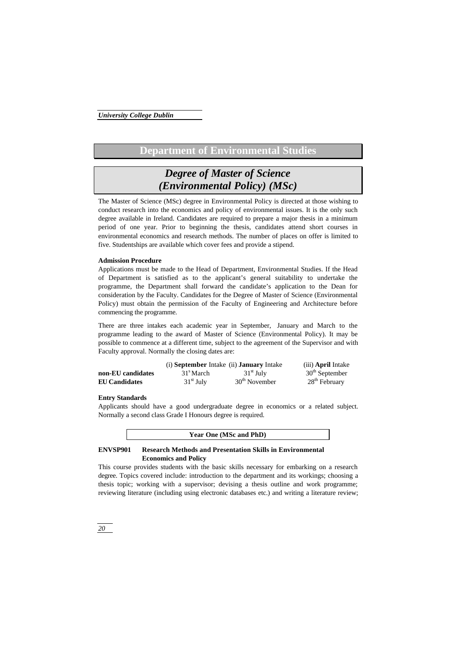### **Department of Environmental Studies**

# *Degree of Master of Science (Environmental Policy) (MSc)*

The Master of Science (MSc) degree in Environmental Policy is directed at those wishing to conduct research into the economics and policy of environmental issues. It is the only such degree available in Ireland. Candidates are required to prepare a major thesis in a minimum period of one year. Prior to beginning the thesis, candidates attend short courses in environmental economics and research methods. The number of places on offer is limited to five. Studentships are available which cover fees and provide a stipend.

#### **Admission Procedure**

Applications must be made to the Head of Department, Environmental Studies. If the Head of Department is satisfied as to the applicant's general suitability to undertake the programme, the Department shall forward the candidate's application to the Dean for consideration by the Faculty. Candidates for the Degree of Master of Science (Environmental Policy) must obtain the permission of the Faculty of Engineering and Architecture before commencing the programme.

There are three intakes each academic year in September, January and March to the programme leading to the award of Master of Science (Environmental Policy). It may be possible to commence at a different time, subject to the agreement of the Supervisor and with Faculty approval. Normally the closing dates are:

|                      | (i) September Intake (ii) January Intake | (iii) <b>April</b> Intake |                           |
|----------------------|------------------------------------------|---------------------------|---------------------------|
| non-EU candidates    | 31 <sup>s</sup> March                    | $31st$ July               | $30th$ September          |
| <b>EU Candidates</b> | $31st$ July                              | $30th$ November           | 28 <sup>th</sup> February |

#### **Entry Standards**

Applicants should have a good undergraduate degree in economics or a related subject. Normally a second class Grade I Honours degree is required.



#### **ENVSP901 Research Methods and Presentation Skills in Environmental Economics and Policy**

This course provides students with the basic skills necessary for embarking on a research degree. Topics covered include: introduction to the department and its workings; choosing a thesis topic; working with a supervisor; devising a thesis outline and work programme; reviewing literature (including using electronic databases etc.) and writing a literature review;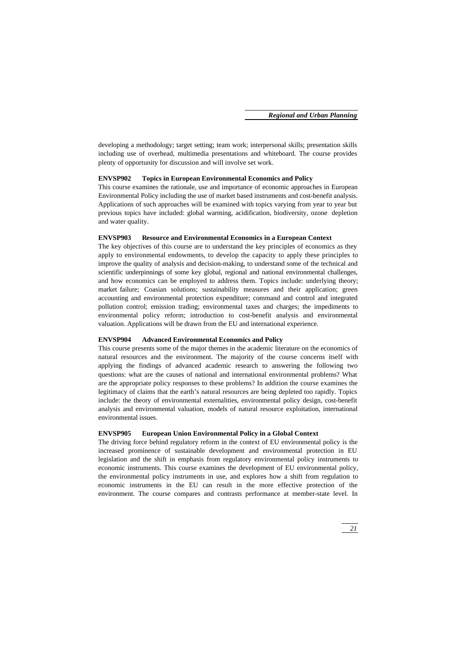developing a methodology; target setting; team work; interpersonal skills; presentation skills including use of overhead, multimedia presentations and whiteboard. The course provides plenty of opportunity for discussion and will involve set work.

#### **ENVSP902 Topics in European Environmental Economics and Policy**

This course examines the rationale, use and importance of economic approaches in European Environmental Policy including the use of market based instruments and cost-benefit analysis. Applications of such approaches will be examined with topics varying from year to year but previous topics have included: global warming, acidification, biodiversity, ozone depletion and water quality.

#### **ENVSP903 Resource and Environmental Economics in a European Context**

The key objectives of this course are to understand the key principles of economics as they apply to environmental endowments, to develop the capacity to apply these principles to improve the quality of analysis and decision-making, to understand some of the technical and scientific underpinnings of some key global, regional and national environmental challenges, and how economics can be employed to address them. Topics include: underlying theory; market failure; Coasian solutions; sustainability measures and their application; green accounting and environmental protection expenditure; command and control and integrated pollution control; emission trading; environmental taxes and charges; the impediments to environmental policy reform; introduction to cost-benefit analysis and environmental valuation. Applications will be drawn from the EU and international experience.

#### **ENVSP904 Advanced Environmental Economics and Policy**

This course presents some of the major themes in the academic literature on the economics of natural resources and the environment. The majority of the course concerns itself with applying the findings of advanced academic research to answering the following two questions: what are the causes of national and international environmental problems? What are the appropriate policy responses to these problems? In addition the course examines the legitimacy of claims that the earth's natural resources are being depleted too rapidly. Topics include: the theory of environmental externalities, environmental policy design, cost-benefit analysis and environmental valuation, models of natural resource exploitation, international environmental issues.

#### **ENVSP905 European Union Environmental Policy in a Global Context**

The driving force behind regulatory reform in the context of EU environmental policy is the increased prominence of sustainable development and environmental protection in EU legislation and the shift in emphasis from regulatory environmental policy instruments to economic instruments. This course examines the development of EU environmental policy, the environmental policy instruments in use, and explores how a shift from regulation to economic instruments in the EU can result in the more effective protection of the environment. The course compares and contrasts performance at member-state level. In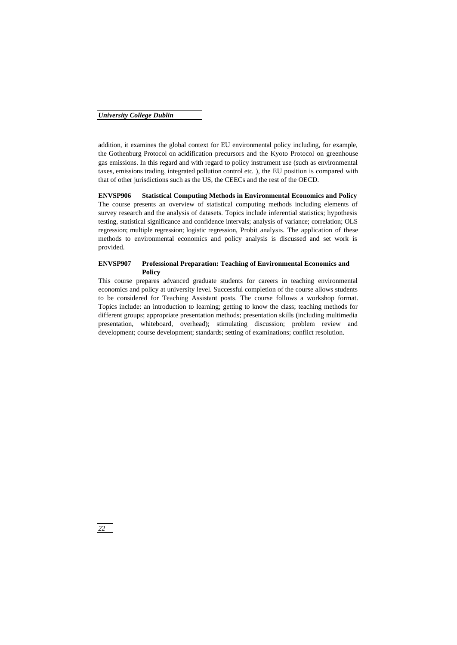addition, it examines the global context for EU environmental policy including, for example, the Gothenburg Protocol on acidification precursors and the Kyoto Protocol on greenhouse gas emissions. In this regard and with regard to policy instrument use (such as environmental taxes, emissions trading, integrated pollution control etc. ), the EU position is compared with that of other jurisdictions such as the US, the CEECs and the rest of the OECD.

**ENVSP906 Statistical Computing Methods in Environmental Economics and Policy** The course presents an overview of statistical computing methods including elements of survey research and the analysis of datasets. Topics include inferential statistics; hypothesis testing, statistical significance and confidence intervals; analysis of variance; correlation; OLS regression; multiple regression; logistic regression, Probit analysis. The application of these methods to environmental economics and policy analysis is discussed and set work is provided.

#### **ENVSP907 Professional Preparation: Teaching of Environmental Economics and Policy**

This course prepares advanced graduate students for careers in teaching environmental economics and policy at university level. Successful completion of the course allows students to be considered for Teaching Assistant posts. The course follows a workshop format. Topics include: an introduction to learning; getting to know the class; teaching methods for different groups; appropriate presentation methods; presentation skills (including multimedia presentation, whiteboard, overhead); stimulating discussion; problem review and development; course development; standards; setting of examinations; conflict resolution.